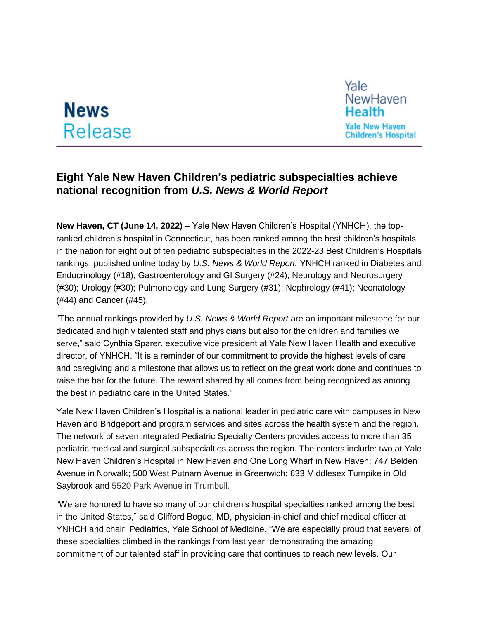## **News** Release



## **Eight Yale New Haven Children's pediatric subspecialties achieve national recognition from** *U.S. News & World Report*

**New Haven, CT (June 14, 2022)** – Yale New Haven Children's Hospital (YNHCH), the topranked children's hospital in Connecticut, has been ranked among the best children's hospitals in the nation for eight out of ten pediatric subspecialties in the 2022-23 Best Children's Hospitals rankings, published online today by *U.S. News & World Report.* YNHCH ranked in Diabetes and Endocrinology (#18); Gastroenterology and GI Surgery (#24); Neurology and Neurosurgery (#30); Urology (#30); Pulmonology and Lung Surgery (#31); Nephrology (#41); Neonatology (#44) and Cancer (#45).

"The annual rankings provided by *U.S. News & World Report* are an important milestone for our dedicated and highly talented staff and physicians but also for the children and families we serve," said Cynthia Sparer, executive vice president at Yale New Haven Health and executive director, of YNHCH. "It is a reminder of our commitment to provide the highest levels of care and caregiving and a milestone that allows us to reflect on the great work done and continues to raise the bar for the future. The reward shared by all comes from being recognized as among the best in pediatric care in the United States."

Yale New Haven Children's Hospital is a national leader in pediatric care with campuses in New Haven and Bridgeport and program services and sites across the health system and the region. The network of seven integrated Pediatric Specialty Centers provides access to more than 35 pediatric medical and surgical subspecialties across the region. The centers include: two at Yale New Haven Children's Hospital in New Haven and One Long Wharf in New Haven; 747 Belden Avenue in Norwalk; 500 West Putnam Avenue in Greenwich; 633 Middlesex Turnpike in Old Saybrook and 5520 Park Avenue in Trumbull.

"We are honored to have so many of our children's hospital specialties ranked among the best in the United States," said Clifford Bogue, MD, physician-in-chief and chief medical officer at YNHCH and chair, Pediatrics, Yale School of Medicine. "We are especially proud that several of these specialties climbed in the rankings from last year, demonstrating the amazing commitment of our talented staff in providing care that continues to reach new levels. Our